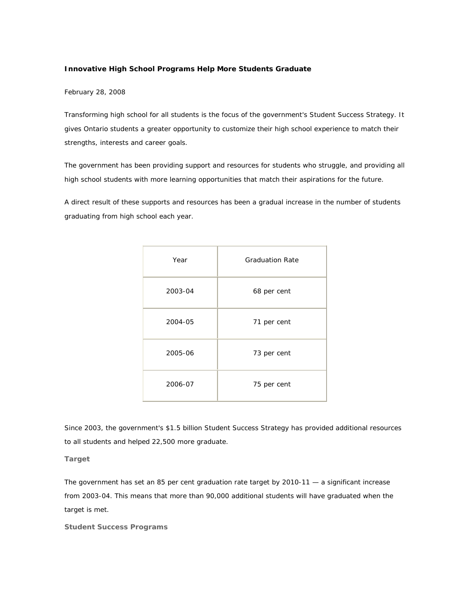## **Innovative High School Programs Help More Students Graduate**

February 28, 2008

Transforming high school for all students is the focus of the government's Student Success Strategy. It gives Ontario students a greater opportunity to customize their high school experience to match their strengths, interests and career goals.

The government has been providing support and resources for students who struggle, and providing all high school students with more learning opportunities that match their aspirations for the future.

A direct result of these supports and resources has been a gradual increase in the number of students graduating from high school each year.

| Year    | <b>Graduation Rate</b> |
|---------|------------------------|
| 2003-04 | 68 per cent            |
| 2004-05 | 71 per cent            |
| 2005-06 | 73 per cent            |
| 2006-07 | 75 per cent            |

Since 2003, the government's \$1.5 billion Student Success Strategy has provided additional resources to all students and helped 22,500 more graduate.

**Target** 

The government has set an 85 per cent graduation rate target by 2010-11 — a significant increase from 2003-04. This means that more than 90,000 additional students will have graduated when the target is met.

**Student Success Programs**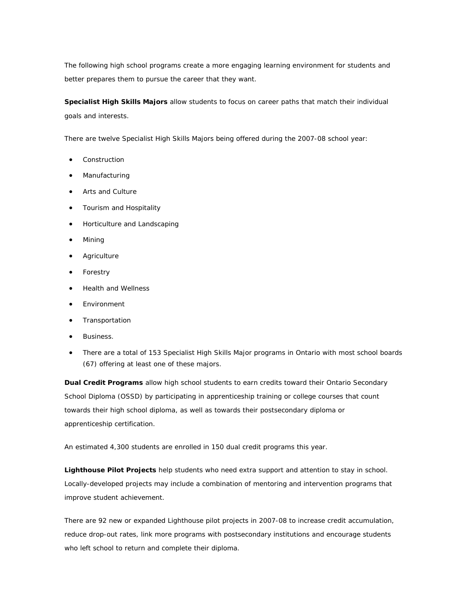The following high school programs create a more engaging learning environment for students and better prepares them to pursue the career that they want.

**Specialist High Skills Majors** allow students to focus on career paths that match their individual goals and interests.

There are twelve Specialist High Skills Majors being offered during the 2007-08 school year:

- **Construction**
- **Manufacturing**
- Arts and Culture
- Tourism and Hospitality
- Horticulture and Landscaping
- Mining
- Agriculture
- Forestry
- Health and Wellness
- Environment
- Transportation
- Business.
- There are a total of 153 Specialist High Skills Major programs in Ontario with most school boards (67) offering at least one of these majors.

**Dual Credit Programs** allow high school students to earn credits toward their Ontario Secondary School Diploma (OSSD) by participating in apprenticeship training or college courses that count towards their high school diploma, as well as towards their postsecondary diploma or apprenticeship certification.

An estimated 4,300 students are enrolled in 150 dual credit programs this year.

**Lighthouse Pilot Projects** help students who need extra support and attention to stay in school. Locally-developed projects may include a combination of mentoring and intervention programs that improve student achievement.

There are 92 new or expanded Lighthouse pilot projects in 2007-08 to increase credit accumulation, reduce drop-out rates, link more programs with postsecondary institutions and encourage students who left school to return and complete their diploma.